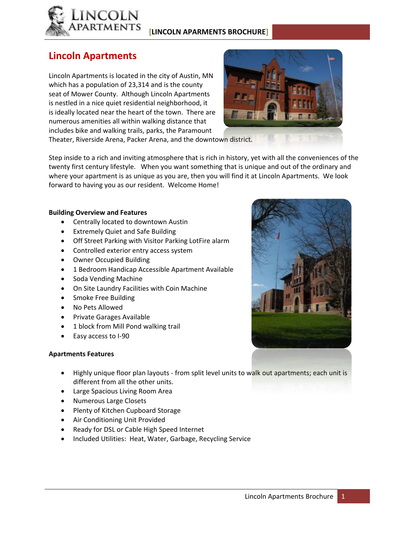

### **[LINCOLN APARMENTS BROCHURE]**

## **Lincoln Apartments**

Lincoln Apartments is located in the city of Austin, MN which has a population of 23,314 and is the county seat of Mower County. Although Lincoln Apartments is nestled in a nice quiet residential neighborhood, it is ideally located near the heart of the town. There are numerous amenities all within walking distance that includes bike and walking trails, parks, the Paramount



Theater, Riverside Arena, Packer Arena, and the downtown district.

Step inside to a rich and inviting atmosphere that is rich in history, yet with all the conveniences of the twenty first century lifestyle. When you want something that is unique and out of the ordinary and where your apartment is as unique as you are, then you will find it at Lincoln Apartments. We look forward to having you as our resident. Welcome Home!

#### **Building Overview and Features**

- Centrally located to downtown Austin
- Extremely Quiet and Safe Building
- Off Street Parking with Visitor Parking LotFire alarm
- Controlled exterior entry access system
- Owner Occupied Building
- 1 Bedroom Handicap Accessible Apartment Available
- Soda Vending Machine
- On Site Laundry Facilities with Coin Machine
- Smoke Free Building
- No Pets Allowed
- **•** Private Garages Available
- 1 block from Mill Pond walking trail
- Easy access to I-90

#### **Apartments Features**

- Highly unique floor plan layouts from split level units to walk out apartments; each unit is different from all the other units.
- Large Spacious Living Room Area
- Numerous Large Closets
- Plenty of Kitchen Cupboard Storage
- Air Conditioning Unit Provided
- Ready for DSL or Cable High Speed Internet
- Included Utilities: Heat, Water, Garbage, Recycling Service